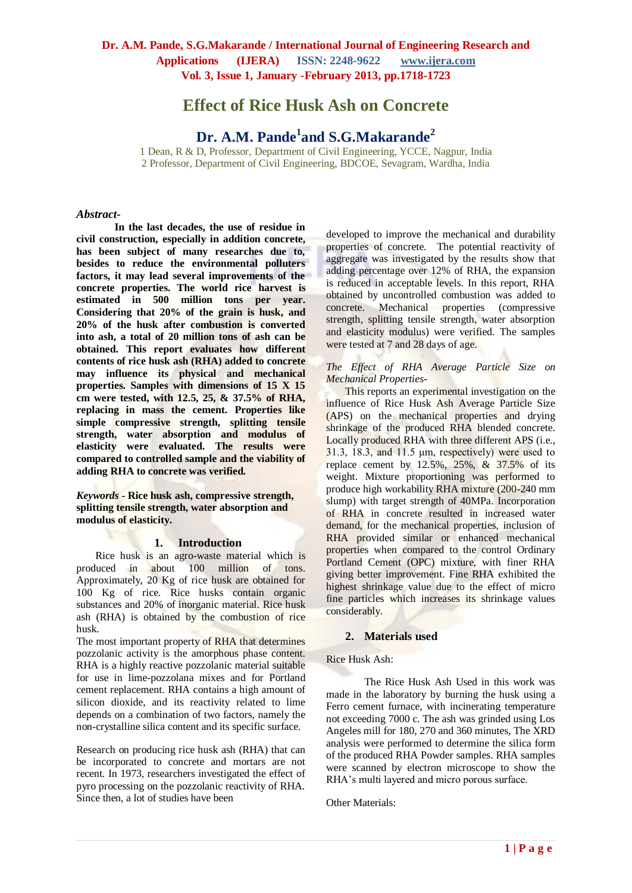# **Effect of Rice Husk Ash on Concrete**

# **Dr. A.M. Pande<sup>1</sup> and S.G.Makarande<sup>2</sup>**

1 Dean, R & D, Professor, Department of Civil Engineering, YCCE, Nagpur, India 2 Professor, Department of Civil Engineering, BDCOE, Sevagram, Wardha, India

#### *Abstract-*

**In the last decades, the use of residue in civil construction, especially in addition concrete, has been subject of many researches due to, besides to reduce the environmental polluters factors, it may lead several improvements of the concrete properties. The world rice harvest is estimated in 500 million tons per year. Considering that 20% of the grain is husk, and 20% of the husk after combustion is converted into ash, a total of 20 million tons of ash can be obtained. This report evaluates how different contents of rice husk ash (RHA) added to concrete may influence its physical and mechanical properties. Samples with dimensions of 15 X 15 cm were tested, with 12.5, 25, & 37.5% of RHA, replacing in mass the cement. Properties like simple compressive strength, splitting tensile strength, water absorption and modulus of elasticity were evaluated. The results were compared to controlled sample and the viability of adding RHA to concrete was verified.**

*Keywords -* **Rice husk ash, compressive strength, splitting tensile strength, water absorption and modulus of elasticity.**

#### **1. Introduction**

Rice husk is an agro-waste material which is produced in about 100 million of tons. Approximately, 20 Kg of rice husk are obtained for 100 Kg of rice. Rice husks contain organic substances and 20% of inorganic material. Rice husk ash (RHA) is obtained by the combustion of rice husk.

The most important property of RHA that determines pozzolanic activity is the amorphous phase content. RHA is a highly reactive pozzolanic material suitable for use in lime-pozzolana mixes and for Portland cement replacement. RHA contains a high amount of silicon dioxide, and its reactivity related to lime depends on a combination of two factors, namely the non-crystalline silica content and its specific surface.

Research on producing rice husk ash (RHA) that can be incorporated to concrete and mortars are not recent. In 1973, researchers investigated the effect of pyro processing on the pozzolanic reactivity of RHA. Since then, a lot of studies have been

developed to improve the mechanical and durability properties of concrete. The potential reactivity of aggregate was investigated by the results show that adding percentage over 12% of RHA, the expansion is reduced in acceptable levels. In this report, RHA obtained by uncontrolled combustion was added to concrete. Mechanical properties (compressive strength, splitting tensile strength, water absorption and elasticity modulus) were verified. The samples were tested at 7 and 28 days of age.

### *The Effect of RHA Average Particle Size on Mechanical Properties-*

This reports an experimental investigation on the influence of Rice Husk Ash Average Particle Size (APS) on the mechanical properties and drying shrinkage of the produced RHA blended concrete. Locally produced RHA with three different APS (i.e., 31.3, 18.3, and 11.5 µm, respectively) were used to replace cement by 12.5%, 25%, & 37.5% of its weight. Mixture proportioning was performed to produce high workability RHA mixture (200-240 mm slump) with target strength of 40MPa. Incorporation of RHA in concrete resulted in increased water demand, for the mechanical properties, inclusion of RHA provided similar or enhanced mechanical properties when compared to the control Ordinary Portland Cement (OPC) mixture, with finer RHA giving better improvement. Fine RHA exhibited the highest shrinkage value due to the effect of micro fine particles which increases its shrinkage values considerably.

### **2. Materials used**

#### Rice Husk Ash:

The Rice Husk Ash Used in this work was made in the laboratory by burning the husk using a Ferro cement furnace, with incinerating temperature not exceeding 7000 c. The ash was grinded using Los Angeles mill for 180, 270 and 360 minutes, The XRD analysis were performed to determine the silica form of the produced RHA Powder samples. RHA samples were scanned by electron microscope to show the RHA's multi layered and micro porous surface.

Other Materials: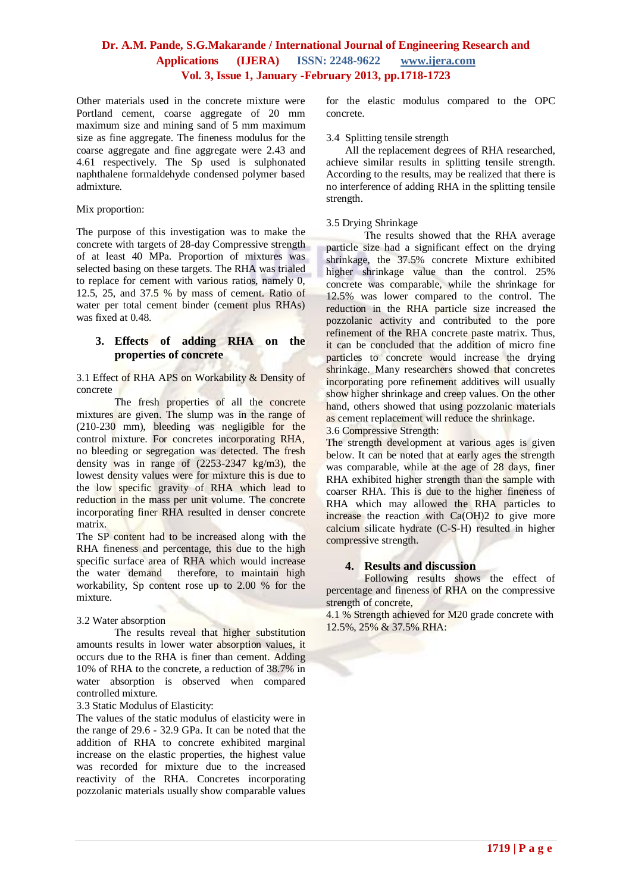Other materials used in the concrete mixture were Portland cement, coarse aggregate of 20 mm maximum size and mining sand of 5 mm maximum size as fine aggregate. The fineness modulus for the coarse aggregate and fine aggregate were 2.43 and 4.61 respectively. The Sp used is sulphonated naphthalene formaldehyde condensed polymer based admixture.

### Mix proportion:

The purpose of this investigation was to make the concrete with targets of 28-day Compressive strength of at least 40 MPa. Proportion of mixtures was selected basing on these targets. The RHA was trialed to replace for cement with various ratios, namely 0, 12.5, 25, and 37.5 % by mass of cement. Ratio of water per total cement binder (cement plus RHAs) was fixed at 0.48.

### **3. Effects of adding RHA on the properties of concrete**

3.1 Effect of RHA APS on Workability & Density of concrete

The fresh properties of all the concrete mixtures are given. The slump was in the range of (210-230 mm), bleeding was negligible for the control mixture. For concretes incorporating RHA, no bleeding or segregation was detected. The fresh density was in range of (2253-2347 kg/m3), the lowest density values were for mixture this is due to the low specific gravity of RHA which lead to reduction in the mass per unit volume. The concrete incorporating finer RHA resulted in denser concrete matrix.

The SP content had to be increased along with the RHA fineness and percentage, this due to the high specific surface area of RHA which would increase the water demand therefore, to maintain high workability, Sp content rose up to 2.00 % for the mixture.

### 3.2 Water absorption

The results reveal that higher substitution amounts results in lower water absorption values, it occurs due to the RHA is finer than cement. Adding 10% of RHA to the concrete, a reduction of 38.7% in water absorption is observed when compared controlled mixture.

### 3.3 Static Modulus of Elasticity:

The values of the static modulus of elasticity were in the range of 29.6 - 32.9 GPa. It can be noted that the addition of RHA to concrete exhibited marginal increase on the elastic properties, the highest value was recorded for mixture due to the increased reactivity of the RHA. Concretes incorporating pozzolanic materials usually show comparable values

for the elastic modulus compared to the OPC concrete.

#### 3.4 Splitting tensile strength

All the replacement degrees of RHA researched, achieve similar results in splitting tensile strength. According to the results, may be realized that there is no interference of adding RHA in the splitting tensile strength.

### 3.5 Drying Shrinkage

The results showed that the RHA average particle size had a significant effect on the drying shrinkage, the 37.5% concrete Mixture exhibited higher shrinkage value than the control. 25% concrete was comparable, while the shrinkage for 12.5% was lower compared to the control. The reduction in the RHA particle size increased the pozzolanic activity and contributed to the pore refinement of the RHA concrete paste matrix. Thus, it can be concluded that the addition of micro fine particles to concrete would increase the drying shrinkage. Many researchers showed that concretes incorporating pore refinement additives will usually show higher shrinkage and creep values. On the other hand, others showed that using pozzolanic materials as cement replacement will reduce the shrinkage.

3.6 Compressive Strength:

The strength development at various ages is given below. It can be noted that at early ages the strength was comparable, while at the age of 28 days, finer RHA exhibited higher strength than the sample with coarser RHA. This is due to the higher fineness of RHA which may allowed the RHA particles to increase the reaction with Ca(OH)2 to give more calcium silicate hydrate (C-S-H) resulted in higher compressive strength.

### **4. Results and discussion**

Following results shows the effect of percentage and fineness of RHA on the compressive strength of concrete,

4.1 % Strength achieved for M20 grade concrete with 12.5%, 25% & 37.5% RHA: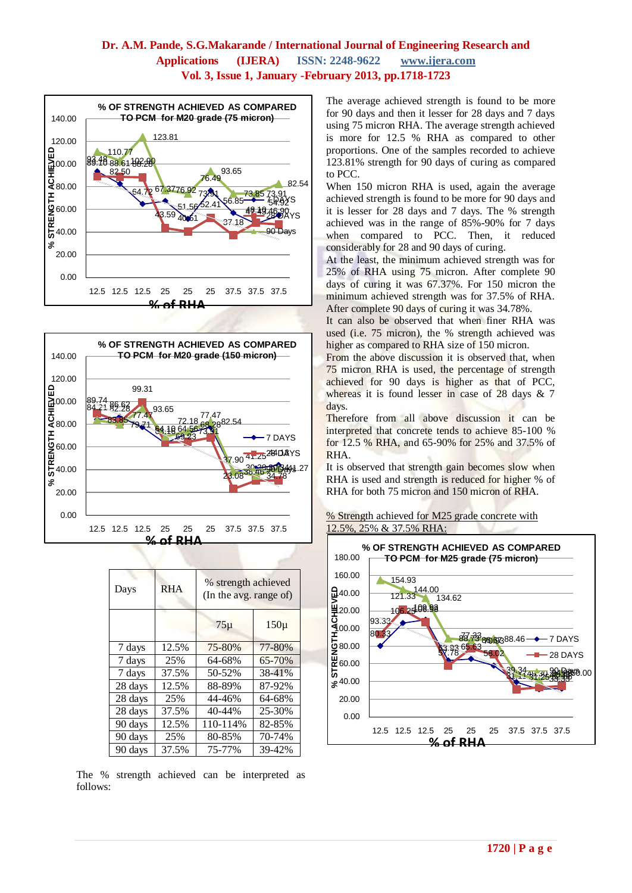



| Days    | <b>RHA</b> | % strength achieved<br>(In the avg. range of) |          |  |
|---------|------------|-----------------------------------------------|----------|--|
|         |            | $75\mu$                                       | $150\mu$ |  |
| 7 days  | 12.5%      | 75-80%                                        | 77-80%   |  |
| 7 days  | 25%        | 64-68%                                        | 65-70%   |  |
| 7 days  | 37.5%      | 50-52%                                        | 38-41%   |  |
| 28 days | 12.5%      | 88-89%                                        | 87-92%   |  |
| 28 days | 25%        | 44-46%                                        | 64-68%   |  |
| 28 days | 37.5%      | 40-44%                                        | 25-30%   |  |
| 90 days | 12.5%      | 110-114%                                      | 82-85%   |  |
| 90 days | 25%        | 80-85%                                        | 70-74%   |  |
| 90 days | 37.5%      | 75-77%                                        | 39-42%   |  |

The % strength achieved can be interpreted as follows:

The average achieved strength is found to be more for 90 days and then it lesser for 28 days and 7 days using 75 micron RHA. The average strength achieved is more for 12.5 % RHA as compared to other proportions. One of the samples recorded to achieve 123.81% strength for 90 days of curing as compared to PCC.

When 150 micron RHA is used, again the average achieved strength is found to be more for 90 days and it is lesser for 28 days and 7 days. The % strength achieved was in the range of 85%-90% for 7 days when compared to PCC. Then, it reduced considerably for 28 and 90 days of curing.

At the least, the minimum achieved strength was for 25% of RHA using 75 micron. After complete 90 days of curing it was 67.37%. For 150 micron the minimum achieved strength was for 37.5% of RHA. After complete 90 days of curing it was 34.78%.

It can also be observed that when finer RHA was used (i.e. 75 micron), the % strength achieved was higher as compared to RHA size of 150 micron.

From the above discussion it is observed that, when 75 micron RHA is used, the percentage of strength achieved for 90 days is higher as that of PCC, whereas it is found lesser in case of 28 days & 7 days.

Therefore from all above discussion it can be interpreted that concrete tends to achieve 85-100 % for 12.5 % RHA, and 65-90% for 25% and 37.5% of RHA.

It is observed that strength gain becomes slow when RHA is used and strength is reduced for higher % of RHA for both 75 micron and 150 micron of RHA.



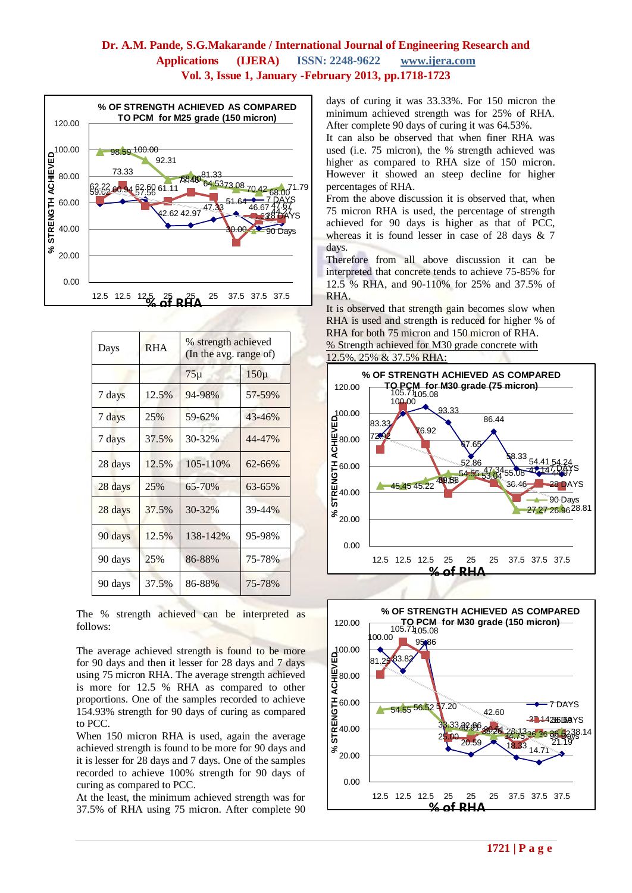

| Days    | <b>RHA</b> | % strength achieved<br>(In the avg. range of) |            |
|---------|------------|-----------------------------------------------|------------|
|         |            | $75\mu$                                       | $150\mu$   |
| 7 days  | 12.5%      | 94-98%                                        | 57-59%     |
| 7 days  | 25%        | 59-62%                                        | 43-46%     |
| 7 days  | 37.5%      | 30-32%                                        | 44-47%     |
| 28 days | 12.5%      | 105-110%                                      | $62 - 66%$ |
| 28 days | 25%        | 65-70%                                        | 63-65%     |
| 28 days | 37.5%      | 30-32%                                        | 39-44%     |
| 90 days | 12.5%      | 138-142%                                      | 95-98%     |
| 90 days | 25%        | 86-88%                                        | 75-78%     |
| 90 days | 37.5%      | 86-88%                                        | 75-78%     |

The % strength achieved can be interpreted as follows:

The average achieved strength is found to be more for 90 days and then it lesser for 28 days and 7 days using 75 micron RHA. The average strength achieved is more for 12.5 % RHA as compared to other proportions. One of the samples recorded to achieve 154.93% strength for 90 days of curing as compared to PCC.

When 150 micron RHA is used, again the average achieved strength is found to be more for 90 days and it is lesser for 28 days and 7 days. One of the samples recorded to achieve 100% strength for 90 days of curing as compared to PCC.

At the least, the minimum achieved strength was for 37.5% of RHA using 75 micron. After complete 90 days of curing it was 33.33%. For 150 micron the minimum achieved strength was for 25% of RHA. After complete 90 days of curing it was 64.53%.

It can also be observed that when finer RHA was used (i.e. 75 micron), the % strength achieved was higher as compared to RHA size of 150 micron. However it showed an steep decline for higher percentages of RHA.

From the above discussion it is observed that, when 75 micron RHA is used, the percentage of strength achieved for 90 days is higher as that of PCC, whereas it is found lesser in case of 28 days  $\&$  7 days.

Therefore from all above discussion it can be interpreted that concrete tends to achieve 75-85% for 12.5 % RHA, and 90-110% for 25% and 37.5% of RHA.

It is observed that strength gain becomes slow when RHA is used and strength is reduced for higher % of RHA for both 75 micron and 150 micron of RHA. % Strength achieved for M30 grade concrete with 12.5%, 25% & 37.5% RHA:



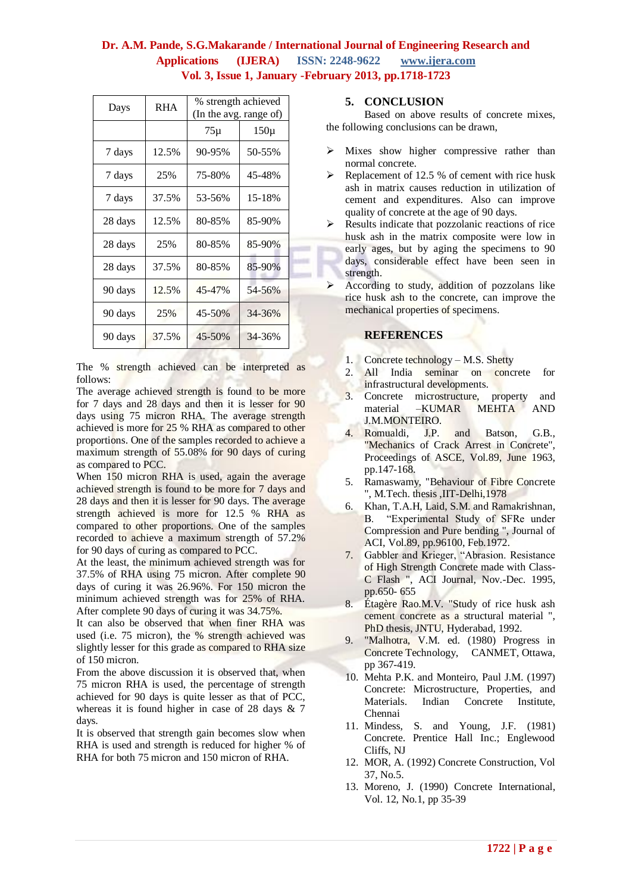| Days    | <b>RHA</b> | % strength achieved<br>(In the avg. range of) |          |  |
|---------|------------|-----------------------------------------------|----------|--|
|         |            | $75\mu$                                       | $150\mu$ |  |
| 7 days  | 12.5%      | 90-95%                                        | 50-55%   |  |
| 7 days  | 25%        | 75-80%                                        | 45-48%   |  |
| 7 days  | 37.5%      | 53-56%                                        | 15-18%   |  |
| 28 days | 12.5%      | 80-85%                                        | 85-90%   |  |
| 28 days | 25%        | 80-85%                                        | 85-90%   |  |
| 28 days | 37.5%      | 80-85%                                        | 85-90%   |  |
| 90 days | 12.5%      | 45-47%                                        | 54-56%   |  |
| 90 days | 25%        | 45-50%                                        | 34-36%   |  |
| 90 days | 37.5%      | 45-50%                                        | 34-36%   |  |

The % strength achieved can be interpreted as follows:

The average achieved strength is found to be more for 7 days and 28 days and then it is lesser for 90 days using 75 micron RHA. The average strength achieved is more for 25 % RHA as compared to other proportions. One of the samples recorded to achieve a maximum strength of 55.08% for 90 days of curing as compared to PCC.

When 150 micron RHA is used, again the average achieved strength is found to be more for 7 days and 28 days and then it is lesser for 90 days. The average strength achieved is more for 12.5 % RHA as compared to other proportions. One of the samples recorded to achieve a maximum strength of 57.2% for 90 days of curing as compared to PCC.

At the least, the minimum achieved strength was for 37.5% of RHA using 75 micron. After complete 90 days of curing it was 26.96%. For 150 micron the minimum achieved strength was for 25% of RHA. After complete 90 days of curing it was 34.75%.

It can also be observed that when finer RHA was used (i.e. 75 micron), the % strength achieved was slightly lesser for this grade as compared to RHA size of 150 micron.

From the above discussion it is observed that, when 75 micron RHA is used, the percentage of strength achieved for 90 days is quite lesser as that of PCC, whereas it is found higher in case of 28 days & 7 days.

It is observed that strength gain becomes slow when RHA is used and strength is reduced for higher % of RHA for both 75 micron and 150 micron of RHA.

## **5. CONCLUSION**

Based on above results of concrete mixes, the following conclusions can be drawn,

- $\triangleright$  Mixes show higher compressive rather than normal concrete.
- $\triangleright$  Replacement of 12.5 % of cement with rice husk ash in matrix causes reduction in utilization of cement and expenditures. Also can improve quality of concrete at the age of 90 days.
- $\triangleright$  Results indicate that pozzolanic reactions of rice husk ash in the matrix composite were low in early ages, but by aging the specimens to 90 days, considerable effect have been seen in strength.
- $\triangleright$  According to study, addition of pozzolans like rice husk ash to the concrete, can improve the mechanical properties of specimens.

### **REFERENCES**

- 1. Concrete technology M.S. Shetty
- 2. All India seminar on concrete for infrastructural developments.
- 3. Concrete microstructure, property and material –KUMAR MEHTA AND J.M.MONTEIRO.
- 4. Romualdi, J.P. and Batson, G.B., "Mechanics of Crack Arrest in Concrete", Proceedings of ASCE, Vol.89, June 1963, pp.147-168.
- 5. Ramaswamy, "Behaviour of Fibre Concrete ", M.Tech. thesis ,IIT-Delhi,1978
- 6. Khan, T.A.H, Laid, S.M. and Ramakrishnan, B. "Experimental Study of SFRe under Compression and Pure bending ", Journal of ACI, Vol.89, pp.96100, Feb.1972.
- 7. Gabbler and Krieger, "Abrasion. Resistance of High Strength Concrete made with Class-C Flash ", ACI Journal, Nov.-Dec. 1995, pp.650- 655
- 8. Étagère Rao.M.V. "Study of rice husk ash cement concrete as a structural material ", PhD thesis, JNTU, Hyderabad, 1992.
- 9. "Malhotra, V.M. ed. (1980) Progress in Concrete Technology, CANMET, Ottawa, pp 367-419.
- 10. Mehta P.K. and Monteiro, Paul J.M. (1997) Concrete: Microstructure, Properties, and Materials. Indian Concrete Institute, Chennai
- 11. Mindess, S. and Young, J.F. (1981) Concrete. Prentice Hall Inc.; Englewood Cliffs, NJ
- 12. MOR, A. (1992) Concrete Construction, Vol 37, No.5.
- 13. Moreno, J. (1990) Concrete International, Vol. 12, No.1, pp 35-39